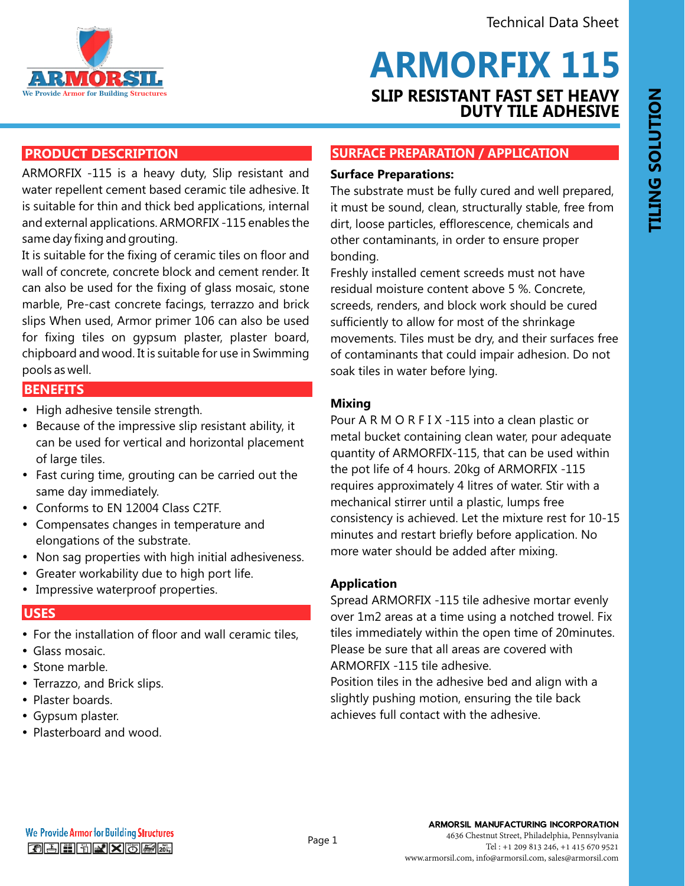

# **SLIP RESISTANT FAST SET HEAVY DUTY TILE ADHESIVE ARMORFIX 115**

# **PRODUCT DESCRIPTION**

ARMORFIX -115 is a heavy duty, Slip resistant and water repellent cement based ceramic tile adhesive. It is suitable for thin and thick bed applications, internal and external applications. ARMORFIX -115 enables the same day fixing and grouting.

It is suitable for the fixing of ceramic tiles on floor and wall of concrete, concrete block and cement render. It can also be used for the fixing of glass mosaic, stone marble, Pre-cast concrete facings, terrazzo and brick slips When used, Armor primer 106 can also be used for fixing tiles on gypsum plaster, plaster board, chipboard and wood. It is suitable for use in Swimming pools as well.

# **FEATURES AND BENEFITS BENEFITS**

- High adhesive tensile strength.
- Because of the impressive slip resistant ability, it can be used for vertical and horizontal placement of large tiles.
- Fast curing time, grouting can be carried out the same day immediately.
- Conforms to EN 12004 Class C2TF.
- Compensates changes in temperature and elongations of the substrate.
- Non sag properties with high initial adhesiveness.
- Greater workability due to high port life.
- Impressive waterproof properties.

#### **USES**

- For the installation of floor and wall ceramic tiles,
- $\cdot$  Glass mosaic.
- $\bullet$  Stone marble.
- Terrazzo, and Brick slips.
- Plaster boards.
- Gypsum plaster.
- Plasterboard and wood.

## **SURFACE PREPARATION / APPLICATION**

#### **Surface Preparations:**

The substrate must be fully cured and well prepared, it must be sound, clean, structurally stable, free from dirt, loose particles, efflorescence, chemicals and other contaminants, in order to ensure proper bonding.

Freshly installed cement screeds must not have residual moisture content above 5 %. Concrete, screeds, renders, and block work should be cured sufficiently to allow for most of the shrinkage movements. Tiles must be dry, and their surfaces free of contaminants that could impair adhesion. Do not soak tiles in water before lying.

### **Mixing**

Pour A R M O R F I X -115 into a clean plastic or metal bucket containing clean water, pour adequate quantity of ARMORFIX-115, that can be used within the pot life of 4 hours. 20kg of ARMORFIX -115 requires approximately 4 litres of water. Stir with a mechanical stirrer until a plastic, lumps free consistency is achieved. Let the mixture rest for 10-15 minutes and restart briefly before application. No more water should be added after mixing.

#### **Application**

Spread ARMORFIX -115 tile adhesive mortar evenly over 1m2 areas at a time using a notched trowel. Fix tiles immediately within the open time of 20minutes. Please be sure that all areas are covered with ARMORFIX -115 tile adhesive.

Position tiles in the adhesive bed and align with a slightly pushing motion, ensuring the tile back achieves full contact with the adhesive.